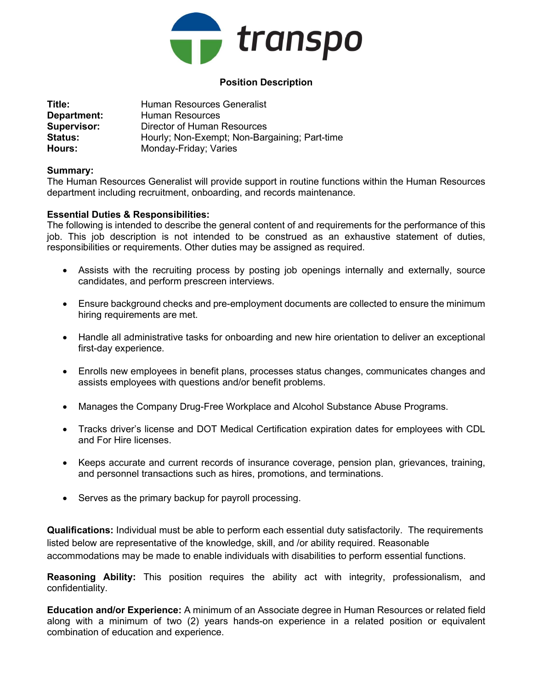

## Position Description

| Title:             | <b>Human Resources Generalist</b>             |
|--------------------|-----------------------------------------------|
| Department:        | Human Resources                               |
| <b>Supervisor:</b> | Director of Human Resources                   |
| <b>Status:</b>     | Hourly; Non-Exempt; Non-Bargaining; Part-time |
| Hours:             | Monday-Friday; Varies                         |

## Summary:

The Human Resources Generalist will provide support in routine functions within the Human Resources department including recruitment, onboarding, and records maintenance.

## Essential Duties & Responsibilities:

The following is intended to describe the general content of and requirements for the performance of this job. This job description is not intended to be construed as an exhaustive statement of duties, responsibilities or requirements. Other duties may be assigned as required.

- Assists with the recruiting process by posting job openings internally and externally, source candidates, and perform prescreen interviews.
- Ensure background checks and pre-employment documents are collected to ensure the minimum hiring requirements are met.
- Handle all administrative tasks for onboarding and new hire orientation to deliver an exceptional first-day experience.
- Enrolls new employees in benefit plans, processes status changes, communicates changes and assists employees with questions and/or benefit problems.
- Manages the Company Drug-Free Workplace and Alcohol Substance Abuse Programs.
- Tracks driver's license and DOT Medical Certification expiration dates for employees with CDL and For Hire licenses.
- Keeps accurate and current records of insurance coverage, pension plan, grievances, training, and personnel transactions such as hires, promotions, and terminations.
- Serves as the primary backup for payroll processing.

Qualifications: Individual must be able to perform each essential duty satisfactorily. The requirements listed below are representative of the knowledge, skill, and /or ability required. Reasonable accommodations may be made to enable individuals with disabilities to perform essential functions.

Reasoning Ability: This position requires the ability act with integrity, professionalism, and confidentiality.

Education and/or Experience: A minimum of an Associate degree in Human Resources or related field along with a minimum of two (2) years hands-on experience in a related position or equivalent combination of education and experience.